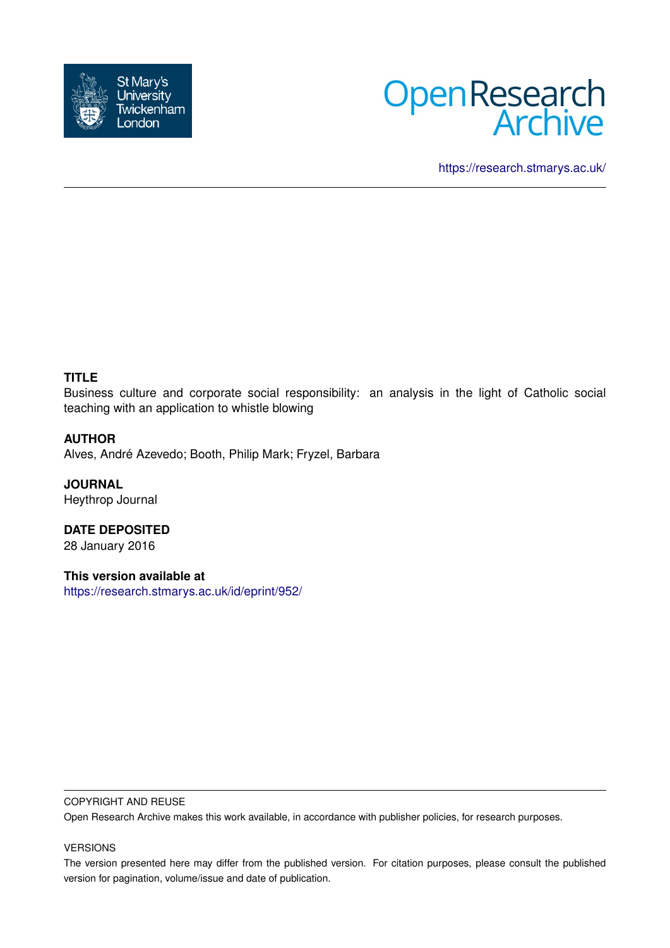



<https://research.stmarys.ac.uk/>

# **TITLE**

Business culture and corporate social responsibility: an analysis in the light of Catholic social teaching with an application to whistle blowing

# **AUTHOR**

Alves, André Azevedo; Booth, Philip Mark; Fryzel, Barbara

**JOURNAL** Heythrop Journal

**DATE DEPOSITED** 28 January 2016

**This version available at** <https://research.stmarys.ac.uk/id/eprint/952/>

## COPYRIGHT AND REUSE

Open Research Archive makes this work available, in accordance with publisher policies, for research purposes.

## VERSIONS

The version presented here may differ from the published version. For citation purposes, please consult the published version for pagination, volume/issue and date of publication.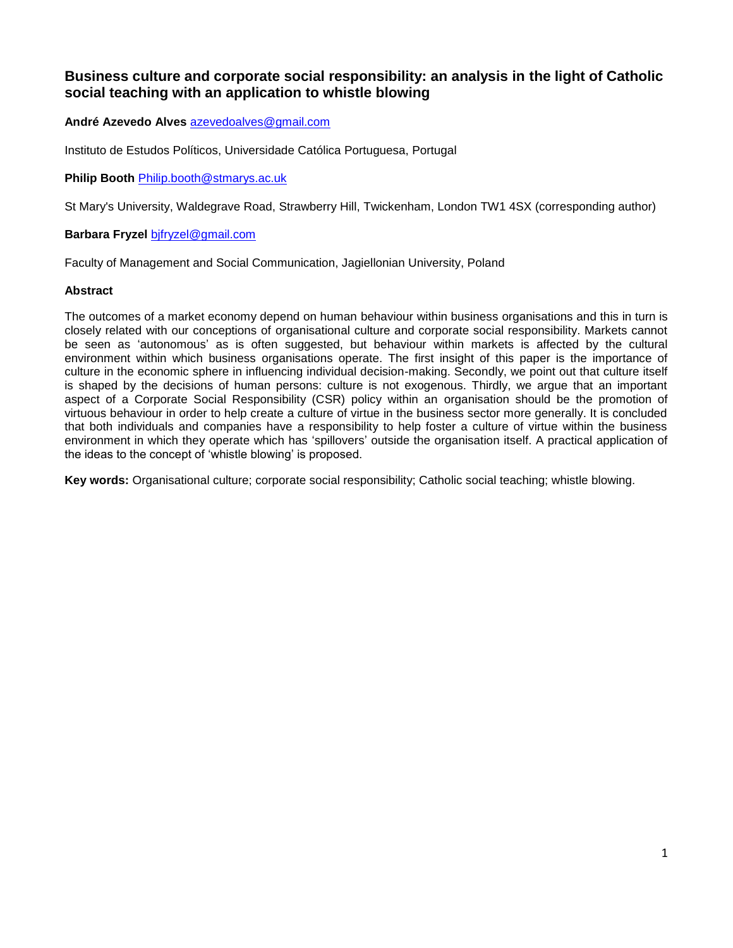# **Business culture and corporate social responsibility: an analysis in the light of Catholic social teaching with an application to whistle blowing**

**André Azevedo Alves** [azevedoalves@gmail.com](mailto:azevedoalves@gmail.com)

Instituto de Estudos Políticos, Universidade Católica Portuguesa, Portugal

**Philip Booth** [Philip.booth@stmarys.ac.uk](mailto:Philip.booth@stmarys.ac.uk)

St Mary's University, Waldegrave Road, Strawberry Hill, Twickenham, London TW1 4SX (corresponding author)

## **Barbara Fryzel** [bjfryzel@gmail.com](mailto:bjfryzel@gmail.com)

Faculty of Management and Social Communication, Jagiellonian University, Poland

### **Abstract**

The outcomes of a market economy depend on human behaviour within business organisations and this in turn is closely related with our conceptions of organisational culture and corporate social responsibility. Markets cannot be seen as 'autonomous' as is often suggested, but behaviour within markets is affected by the cultural environment within which business organisations operate. The first insight of this paper is the importance of culture in the economic sphere in influencing individual decision-making. Secondly, we point out that culture itself is shaped by the decisions of human persons: culture is not exogenous. Thirdly, we argue that an important aspect of a Corporate Social Responsibility (CSR) policy within an organisation should be the promotion of virtuous behaviour in order to help create a culture of virtue in the business sector more generally. It is concluded that both individuals and companies have a responsibility to help foster a culture of virtue within the business environment in which they operate which has 'spillovers' outside the organisation itself. A practical application of the ideas to the concept of 'whistle blowing' is proposed.

**Key words:** Organisational culture; corporate social responsibility; Catholic social teaching; whistle blowing.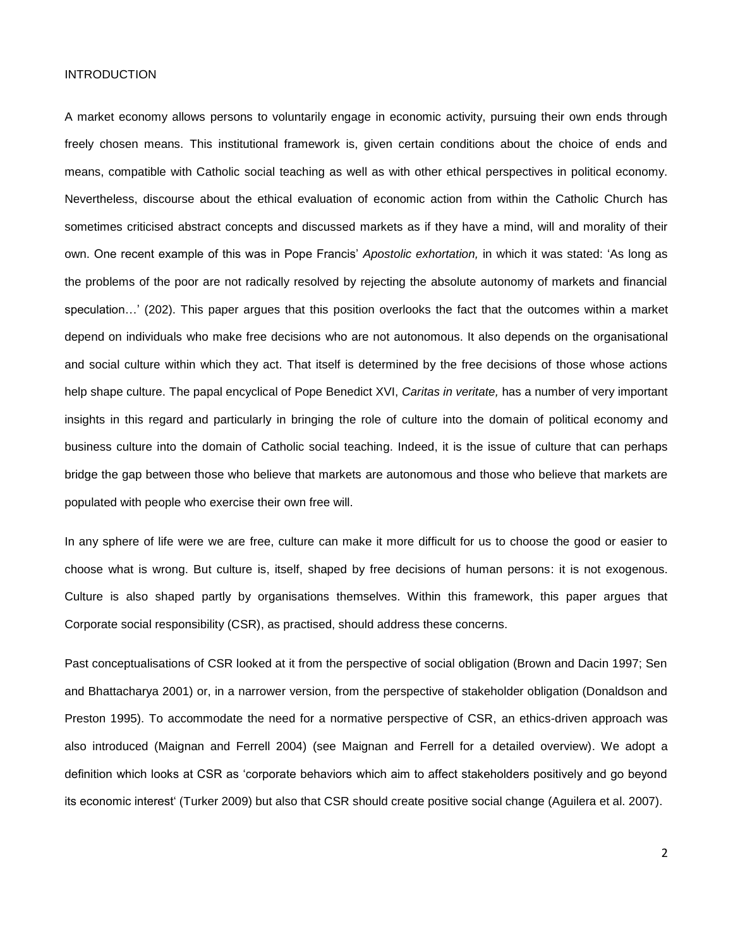#### **INTRODUCTION**

A market economy allows persons to voluntarily engage in economic activity, pursuing their own ends through freely chosen means. This institutional framework is, given certain conditions about the choice of ends and means, compatible with Catholic social teaching as well as with other ethical perspectives in political economy. Nevertheless, discourse about the ethical evaluation of economic action from within the Catholic Church has sometimes criticised abstract concepts and discussed markets as if they have a mind, will and morality of their own. One recent example of this was in Pope Francis' *Apostolic exhortation,* in which it was stated: 'As long as the problems of the poor are not radically resolved by rejecting the absolute autonomy of markets and financial speculation…' (202). This paper argues that this position overlooks the fact that the outcomes within a market depend on individuals who make free decisions who are not autonomous. It also depends on the organisational and social culture within which they act. That itself is determined by the free decisions of those whose actions help shape culture. The papal encyclical of Pope Benedict XVI, *Caritas in veritate,* has a number of very important insights in this regard and particularly in bringing the role of culture into the domain of political economy and business culture into the domain of Catholic social teaching. Indeed, it is the issue of culture that can perhaps bridge the gap between those who believe that markets are autonomous and those who believe that markets are populated with people who exercise their own free will.

In any sphere of life were we are free, culture can make it more difficult for us to choose the good or easier to choose what is wrong. But culture is, itself, shaped by free decisions of human persons: it is not exogenous. Culture is also shaped partly by organisations themselves. Within this framework, this paper argues that Corporate social responsibility (CSR), as practised, should address these concerns.

Past conceptualisations of CSR looked at it from the perspective of social obligation (Brown and Dacin 1997; Sen and Bhattacharya 2001) or, in a narrower version, from the perspective of stakeholder obligation (Donaldson and Preston 1995). To accommodate the need for a normative perspective of CSR, an ethics-driven approach was also introduced (Maignan and Ferrell 2004) (see Maignan and Ferrell for a detailed overview). We adopt a definition which looks at CSR as 'corporate behaviors which aim to affect stakeholders positively and go beyond its economic interest' (Turker 2009) but also that CSR should create positive social change (Aguilera et al. 2007).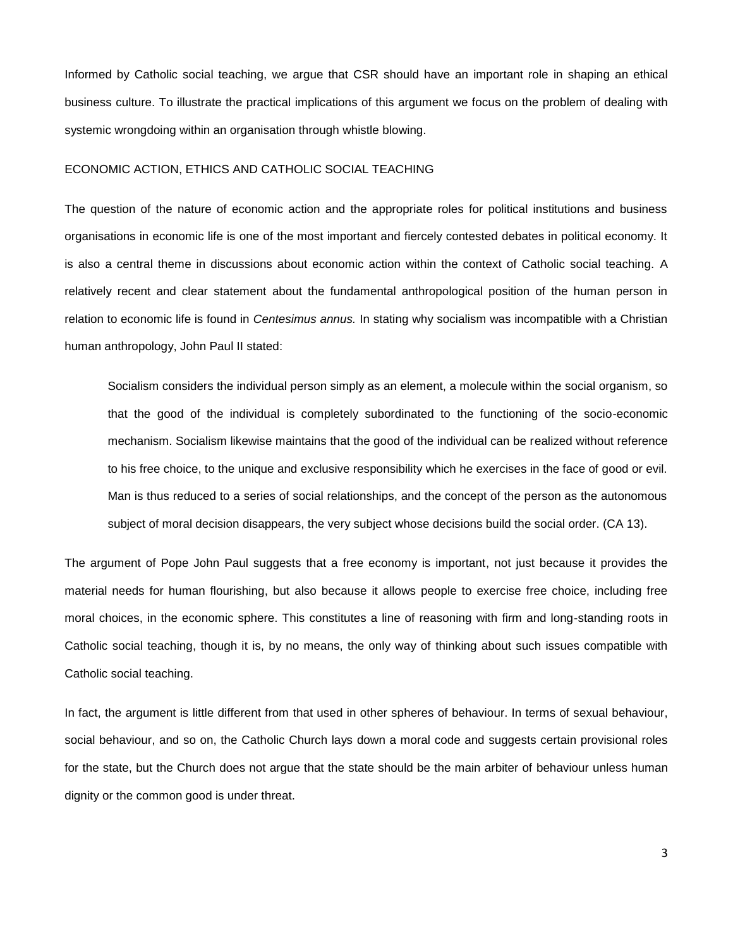Informed by Catholic social teaching, we argue that CSR should have an important role in shaping an ethical business culture. To illustrate the practical implications of this argument we focus on the problem of dealing with systemic wrongdoing within an organisation through whistle blowing.

#### ECONOMIC ACTION, ETHICS AND CATHOLIC SOCIAL TEACHING

The question of the nature of economic action and the appropriate roles for political institutions and business organisations in economic life is one of the most important and fiercely contested debates in political economy. It is also a central theme in discussions about economic action within the context of Catholic social teaching. A relatively recent and clear statement about the fundamental anthropological position of the human person in relation to economic life is found in *Centesimus annus.* In stating why socialism was incompatible with a Christian human anthropology, John Paul II stated:

Socialism considers the individual person simply as an element, a molecule within the social organism, so that the good of the individual is completely subordinated to the functioning of the socio-economic mechanism. Socialism likewise maintains that the good of the individual can be realized without reference to his free choice, to the unique and exclusive responsibility which he exercises in the face of good or evil. Man is thus reduced to a series of social relationships, and the concept of the person as the autonomous subject of moral decision disappears, the very subject whose decisions build the social order. (CA 13).

The argument of Pope John Paul suggests that a free economy is important, not just because it provides the material needs for human flourishing, but also because it allows people to exercise free choice, including free moral choices, in the economic sphere. This constitutes a line of reasoning with firm and long-standing roots in Catholic social teaching, though it is, by no means, the only way of thinking about such issues compatible with Catholic social teaching.

In fact, the argument is little different from that used in other spheres of behaviour. In terms of sexual behaviour, social behaviour, and so on, the Catholic Church lays down a moral code and suggests certain provisional roles for the state, but the Church does not argue that the state should be the main arbiter of behaviour unless human dignity or the common good is under threat.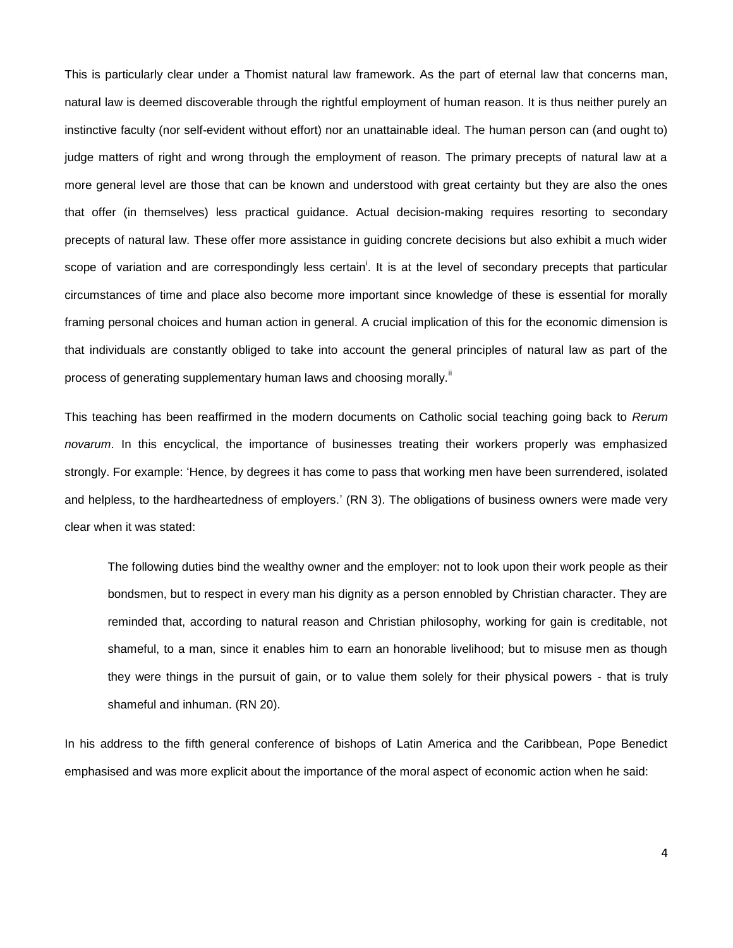This is particularly clear under a Thomist natural law framework. As the part of eternal law that concerns man, natural law is deemed discoverable through the rightful employment of human reason. It is thus neither purely an instinctive faculty (nor self-evident without effort) nor an unattainable ideal. The human person can (and ought to) judge matters of right and wrong through the employment of reason. The primary precepts of natural law at a more general level are those that can be known and understood with great certainty but they are also the ones that offer (in themselves) less practical guidance. Actual decision-making requires resorting to secondary precepts of natural law. These offer more assistance in guiding concrete decisions but also exhibit a much wider scope of variation and are correspondingly less certain<sup>i</sup>. It is at the level of secondary precepts that particular circumstances of time and place also become more important since knowledge of these is essential for morally framing personal choices and human action in general. A crucial implication of this for the economic dimension is that individuals are constantly obliged to take into account the general principles of natural law as part of the process of generating supplementary human laws and choosing morally.<sup>ii</sup>

This teaching has been reaffirmed in the modern documents on Catholic social teaching going back to *Rerum novarum*. In this encyclical, the importance of businesses treating their workers properly was emphasized strongly. For example: 'Hence, by degrees it has come to pass that working men have been surrendered, isolated and helpless, to the hardheartedness of employers.' (RN 3). The obligations of business owners were made very clear when it was stated:

The following duties bind the wealthy owner and the employer: not to look upon their work people as their bondsmen, but to respect in every man his dignity as a person ennobled by Christian character. They are reminded that, according to natural reason and Christian philosophy, working for gain is creditable, not shameful, to a man, since it enables him to earn an honorable livelihood; but to misuse men as though they were things in the pursuit of gain, or to value them solely for their physical powers - that is truly shameful and inhuman. (RN 20).

In his address to the fifth general conference of bishops of Latin America and the Caribbean, Pope Benedict emphasised and was more explicit about the importance of the moral aspect of economic action when he said: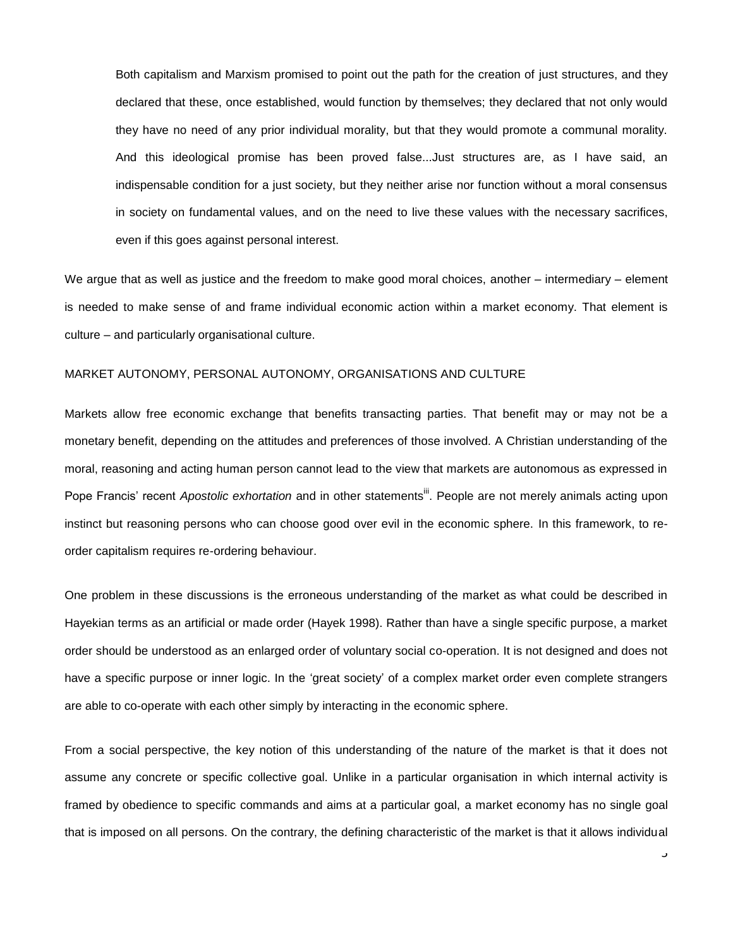Both capitalism and Marxism promised to point out the path for the creation of just structures, and they declared that these, once established, would function by themselves; they declared that not only would they have no need of any prior individual morality, but that they would promote a communal morality. And this ideological promise has been proved false...Just structures are, as I have said, an indispensable condition for a just society, but they neither arise nor function without a moral consensus in society on fundamental values, and on the need to live these values with the necessary sacrifices, even if this goes against personal interest.

We argue that as well as justice and the freedom to make good moral choices, another – intermediary – element is needed to make sense of and frame individual economic action within a market economy. That element is culture – and particularly organisational culture.

#### MARKET AUTONOMY, PERSONAL AUTONOMY, ORGANISATIONS AND CULTURE

Markets allow free economic exchange that benefits transacting parties. That benefit may or may not be a monetary benefit, depending on the attitudes and preferences of those involved. A Christian understanding of the moral, reasoning and acting human person cannot lead to the view that markets are autonomous as expressed in Pope Francis' recent *Apostolic exhortation* and in other statements<sup>iii</sup>. People are not merely animals acting upon instinct but reasoning persons who can choose good over evil in the economic sphere. In this framework, to reorder capitalism requires re-ordering behaviour.

One problem in these discussions is the erroneous understanding of the market as what could be described in Hayekian terms as an artificial or made order (Hayek 1998). Rather than have a single specific purpose, a market order should be understood as an enlarged order of voluntary social co-operation. It is not designed and does not have a specific purpose or inner logic. In the 'great society' of a complex market order even complete strangers are able to co-operate with each other simply by interacting in the economic sphere.

From a social perspective, the key notion of this understanding of the nature of the market is that it does not assume any concrete or specific collective goal. Unlike in a particular organisation in which internal activity is framed by obedience to specific commands and aims at a particular goal, a market economy has no single goal that is imposed on all persons. On the contrary, the defining characteristic of the market is that it allows individual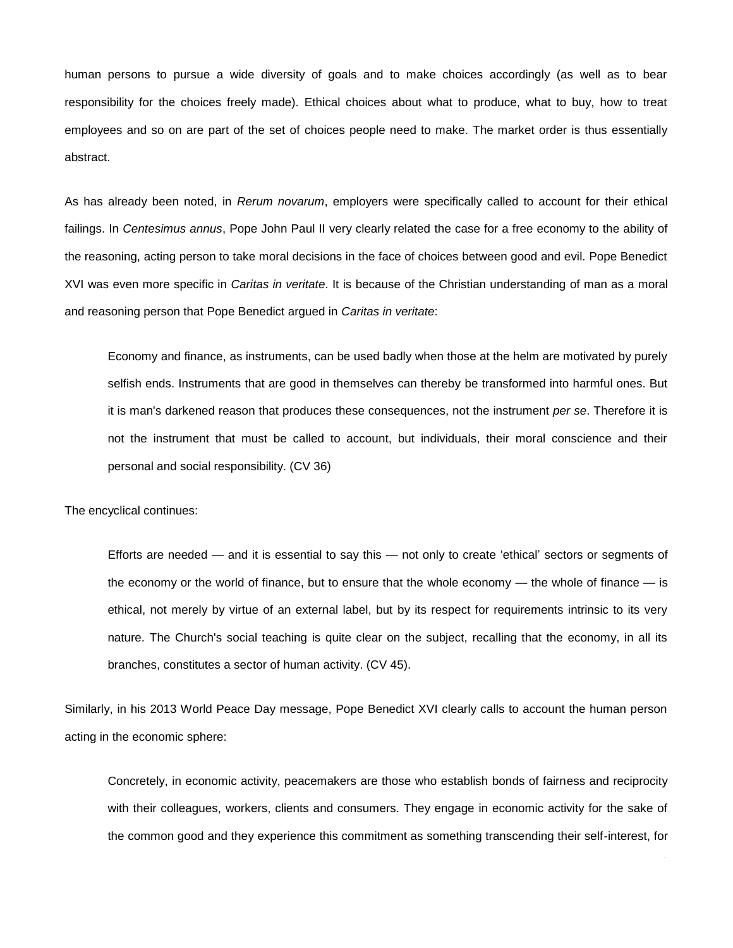human persons to pursue a wide diversity of goals and to make choices accordingly (as well as to bear responsibility for the choices freely made). Ethical choices about what to produce, what to buy, how to treat employees and so on are part of the set of choices people need to make. The market order is thus essentially abstract.

As has already been noted, in *Rerum novarum*, employers were specifically called to account for their ethical failings. In *Centesimus annus*, Pope John Paul II very clearly related the case for a free economy to the ability of the reasoning, acting person to take moral decisions in the face of choices between good and evil. Pope Benedict XVI was even more specific in *Caritas in veritate*. It is because of the Christian understanding of man as a moral and reasoning person that Pope Benedict argued in *Caritas in veritate*:

Economy and finance, as instruments, can be used badly when those at the helm are motivated by purely selfish ends. Instruments that are good in themselves can thereby be transformed into harmful ones. But it is man's darkened reason that produces these consequences, not the instrument *per se*. Therefore it is not the instrument that must be called to account, but individuals, their moral conscience and their personal and social responsibility. (CV 36)

The encyclical continues:

Efforts are needed — and it is essential to say this — not only to create 'ethical' sectors or segments of the economy or the world of finance, but to ensure that the whole economy  $-$  the whole of finance  $-$  is ethical, not merely by virtue of an external label, but by its respect for requirements intrinsic to its very nature. The Church's social teaching is quite clear on the subject, recalling that the economy, in all its branches, constitutes a sector of human activity. (CV 45).

Similarly, in his 2013 World Peace Day message, Pope Benedict XVI clearly calls to account the human person acting in the economic sphere:

Concretely, in economic activity, peacemakers are those who establish bonds of fairness and reciprocity with their colleagues, workers, clients and consumers. They engage in economic activity for the sake of the common good and they experience this commitment as something transcending their self-interest, for

6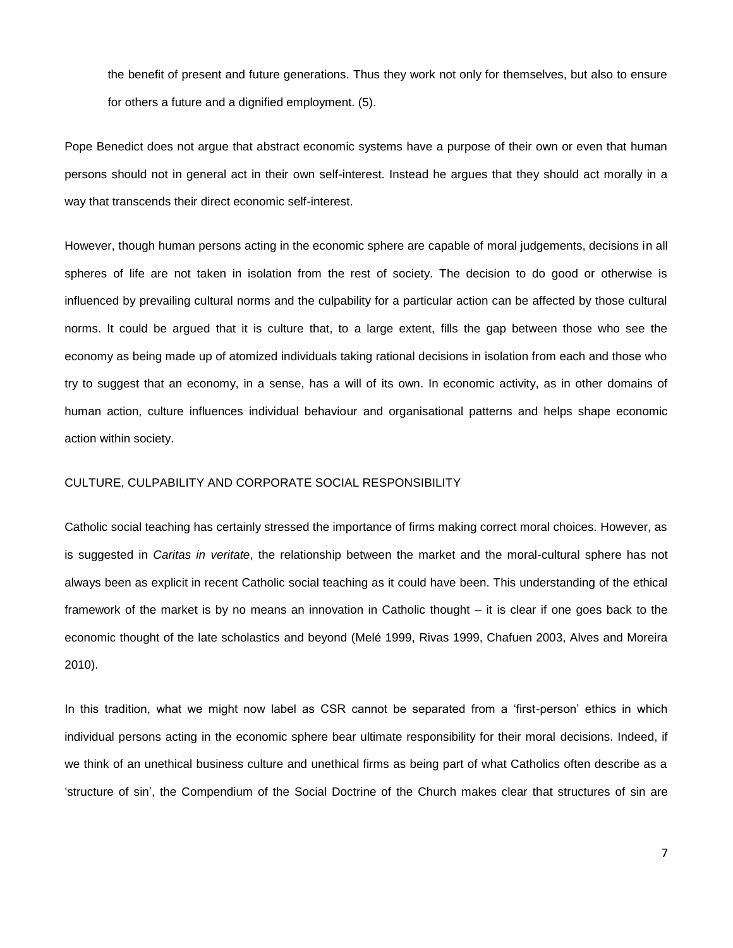the benefit of present and future generations. Thus they work not only for themselves, but also to ensure for others a future and a dignified employment. (5).

Pope Benedict does not argue that abstract economic systems have a purpose of their own or even that human persons should not in general act in their own self-interest. Instead he argues that they should act morally in a way that transcends their direct economic self-interest.

However, though human persons acting in the economic sphere are capable of moral judgements, decisions in all spheres of life are not taken in isolation from the rest of society. The decision to do good or otherwise is influenced by prevailing cultural norms and the culpability for a particular action can be affected by those cultural norms. It could be argued that it is culture that, to a large extent, fills the gap between those who see the economy as being made up of atomized individuals taking rational decisions in isolation from each and those who try to suggest that an economy, in a sense, has a will of its own. In economic activity, as in other domains of human action, culture influences individual behaviour and organisational patterns and helps shape economic action within society.

### CULTURE, CULPABILITY AND CORPORATE SOCIAL RESPONSIBILITY

Catholic social teaching has certainly stressed the importance of firms making correct moral choices. However, as is suggested in *Caritas in veritate*, the relationship between the market and the moral-cultural sphere has not always been as explicit in recent Catholic social teaching as it could have been. This understanding of the ethical framework of the market is by no means an innovation in Catholic thought – it is clear if one goes back to the economic thought of the late scholastics and beyond (Melé 1999, Rivas 1999, Chafuen 2003, Alves and Moreira 2010).

In this tradition, what we might now label as CSR cannot be separated from a 'first-person' ethics in which individual persons acting in the economic sphere bear ultimate responsibility for their moral decisions. Indeed, if we think of an unethical business culture and unethical firms as being part of what Catholics often describe as a 'structure of sin', the Compendium of the Social Doctrine of the Church makes clear that structures of sin are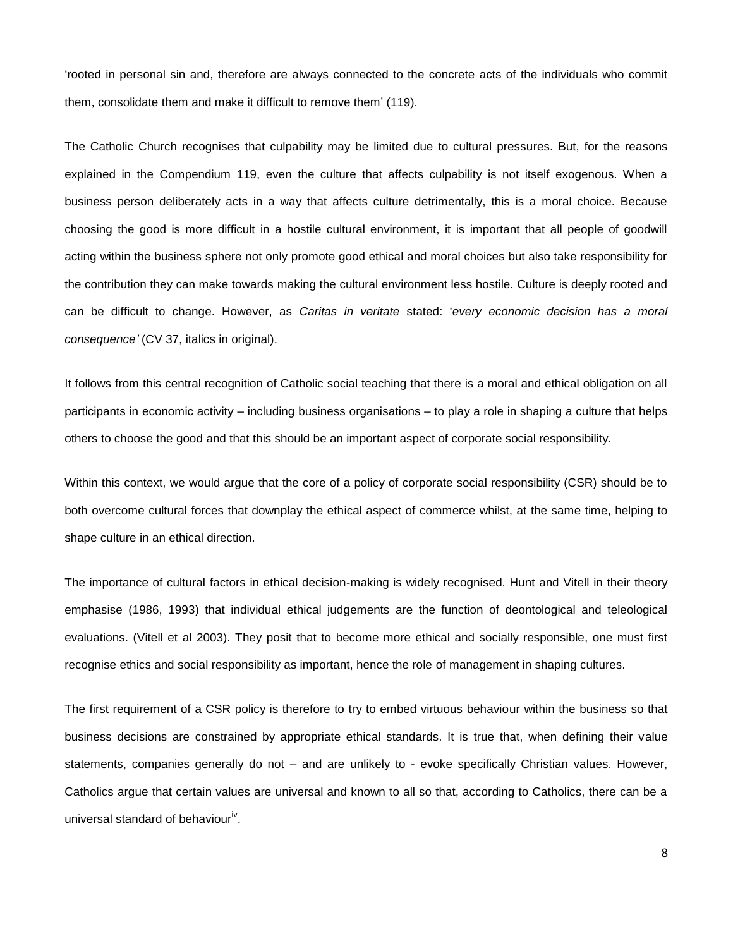'rooted in personal sin and, therefore are always connected to the concrete acts of the individuals who commit them, consolidate them and make it difficult to remove them' (119).

The Catholic Church recognises that culpability may be limited due to cultural pressures. But, for the reasons explained in the Compendium 119, even the culture that affects culpability is not itself exogenous. When a business person deliberately acts in a way that affects culture detrimentally, this is a moral choice. Because choosing the good is more difficult in a hostile cultural environment, it is important that all people of goodwill acting within the business sphere not only promote good ethical and moral choices but also take responsibility for the contribution they can make towards making the cultural environment less hostile. Culture is deeply rooted and can be difficult to change. However, as *Caritas in veritate* stated: '*every economic decision has a moral consequence'* (CV 37, italics in original).

It follows from this central recognition of Catholic social teaching that there is a moral and ethical obligation on all participants in economic activity – including business organisations – to play a role in shaping a culture that helps others to choose the good and that this should be an important aspect of corporate social responsibility.

Within this context, we would argue that the core of a policy of corporate social responsibility (CSR) should be to both overcome cultural forces that downplay the ethical aspect of commerce whilst, at the same time, helping to shape culture in an ethical direction.

The importance of cultural factors in ethical decision-making is widely recognised. Hunt and Vitell in their theory emphasise (1986, 1993) that individual ethical judgements are the function of deontological and teleological evaluations. (Vitell et al 2003). They posit that to become more ethical and socially responsible, one must first recognise ethics and social responsibility as important, hence the role of management in shaping cultures.

The first requirement of a CSR policy is therefore to try to embed virtuous behaviour within the business so that business decisions are constrained by appropriate ethical standards. It is true that, when defining their value statements, companies generally do not – and are unlikely to - evoke specifically Christian values. However, Catholics argue that certain values are universal and known to all so that, according to Catholics, there can be a universal standard of behaviour<sup>iv</sup>.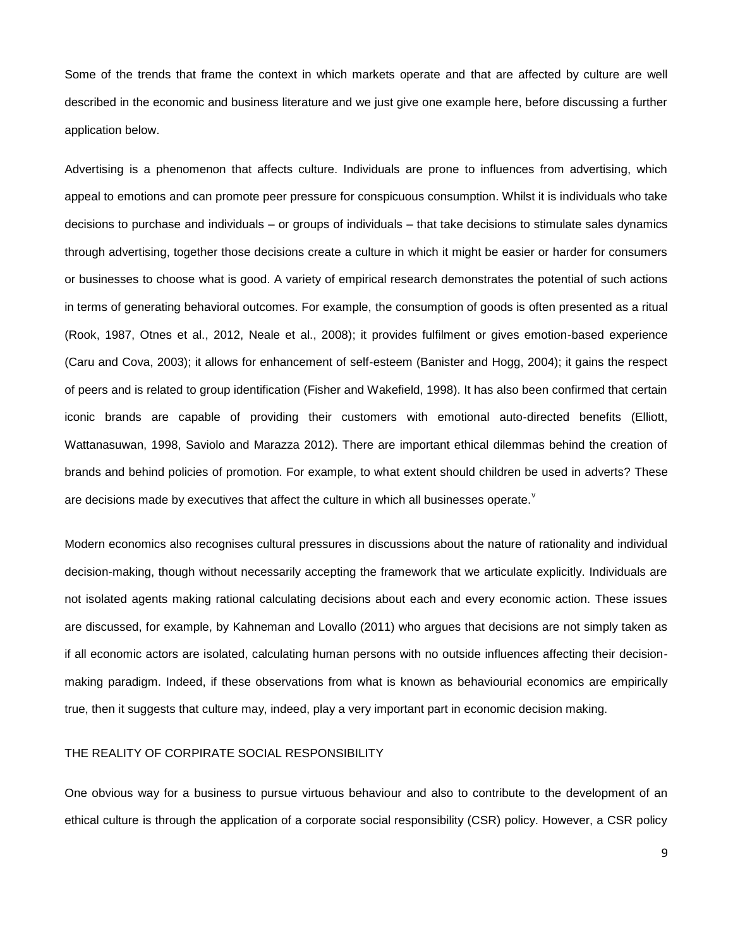Some of the trends that frame the context in which markets operate and that are affected by culture are well described in the economic and business literature and we just give one example here, before discussing a further application below.

Advertising is a phenomenon that affects culture. Individuals are prone to influences from advertising, which appeal to emotions and can promote peer pressure for conspicuous consumption. Whilst it is individuals who take decisions to purchase and individuals – or groups of individuals – that take decisions to stimulate sales dynamics through advertising, together those decisions create a culture in which it might be easier or harder for consumers or businesses to choose what is good. A variety of empirical research demonstrates the potential of such actions in terms of generating behavioral outcomes. For example, the consumption of goods is often presented as a ritual (Rook, 1987, Otnes et al., 2012, Neale et al., 2008); it provides fulfilment or gives emotion-based experience (Caru and Cova, 2003); it allows for enhancement of self-esteem (Banister and Hogg, 2004); it gains the respect of peers and is related to group identification (Fisher and Wakefield, 1998). It has also been confirmed that certain iconic brands are capable of providing their customers with emotional auto-directed benefits (Elliott, Wattanasuwan, 1998, Saviolo and Marazza 2012). There are important ethical dilemmas behind the creation of brands and behind policies of promotion. For example, to what extent should children be used in adverts? These are decisions made by executives that affect the culture in which all businesses operate. $\degree$ 

Modern economics also recognises cultural pressures in discussions about the nature of rationality and individual decision-making, though without necessarily accepting the framework that we articulate explicitly. Individuals are not isolated agents making rational calculating decisions about each and every economic action. These issues are discussed, for example, by Kahneman and Lovallo (2011) who argues that decisions are not simply taken as if all economic actors are isolated, calculating human persons with no outside influences affecting their decisionmaking paradigm. Indeed, if these observations from what is known as behaviourial economics are empirically true, then it suggests that culture may, indeed, play a very important part in economic decision making.

#### THE REALITY OF CORPIRATE SOCIAL RESPONSIBILITY

One obvious way for a business to pursue virtuous behaviour and also to contribute to the development of an ethical culture is through the application of a corporate social responsibility (CSR) policy. However, a CSR policy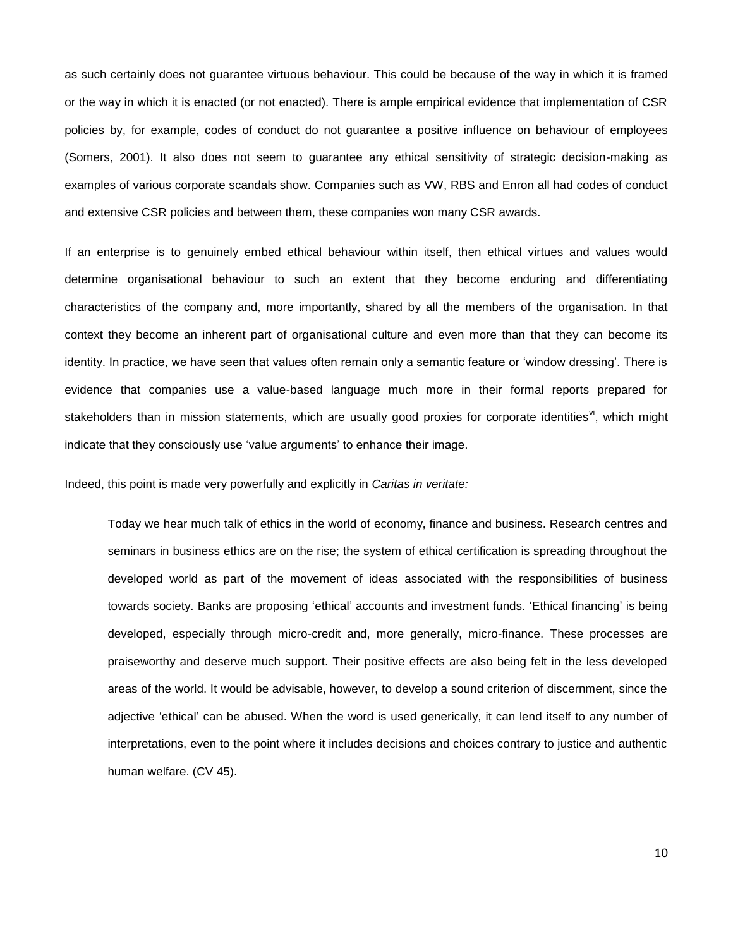as such certainly does not guarantee virtuous behaviour. This could be because of the way in which it is framed or the way in which it is enacted (or not enacted). There is ample empirical evidence that implementation of CSR policies by, for example, codes of conduct do not guarantee a positive influence on behaviour of employees (Somers, 2001). It also does not seem to guarantee any ethical sensitivity of strategic decision-making as examples of various corporate scandals show. Companies such as VW, RBS and Enron all had codes of conduct and extensive CSR policies and between them, these companies won many CSR awards.

If an enterprise is to genuinely embed ethical behaviour within itself, then ethical virtues and values would determine organisational behaviour to such an extent that they become enduring and differentiating characteristics of the company and, more importantly, shared by all the members of the organisation. In that context they become an inherent part of organisational culture and even more than that they can become its identity. In practice, we have seen that values often remain only a semantic feature or 'window dressing'. There is evidence that companies use a value-based language much more in their formal reports prepared for stakeholders than in mission statements, which are usually good proxies for corporate identities<sup>vi</sup>, which might indicate that they consciously use 'value arguments' to enhance their image.

Indeed, this point is made very powerfully and explicitly in *Caritas in veritate:*

Today we hear much talk of ethics in the world of economy, finance and business. Research centres and seminars in business ethics are on the rise; the system of ethical certification is spreading throughout the developed world as part of the movement of ideas associated with the responsibilities of business towards society. Banks are proposing 'ethical' accounts and investment funds. 'Ethical financing' is being developed, especially through micro-credit and, more generally, micro-finance. These processes are praiseworthy and deserve much support. Their positive effects are also being felt in the less developed areas of the world. It would be advisable, however, to develop a sound criterion of discernment, since the adjective 'ethical' can be abused. When the word is used generically, it can lend itself to any number of interpretations, even to the point where it includes decisions and choices contrary to justice and authentic human welfare. (CV 45).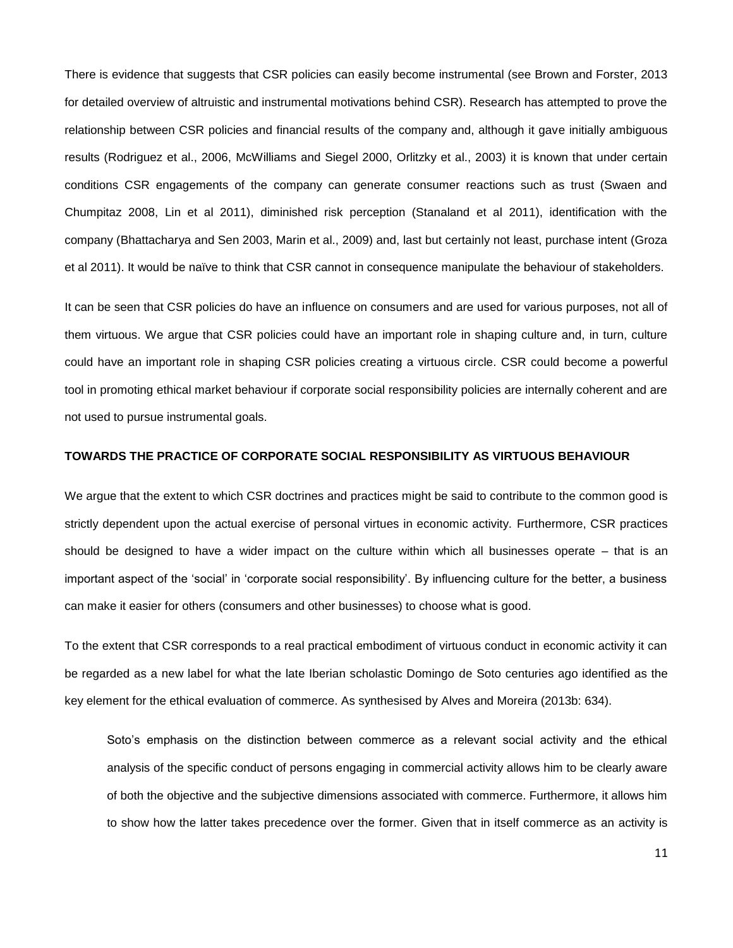There is evidence that suggests that CSR policies can easily become instrumental (see Brown and Forster, 2013 for detailed overview of altruistic and instrumental motivations behind CSR). Research has attempted to prove the relationship between CSR policies and financial results of the company and, although it gave initially ambiguous results (Rodriguez et al., 2006, McWilliams and Siegel 2000, Orlitzky et al., 2003) it is known that under certain conditions CSR engagements of the company can generate consumer reactions such as trust (Swaen and Chumpitaz 2008, Lin et al 2011), diminished risk perception (Stanaland et al 2011), identification with the company (Bhattacharya and Sen 2003, Marin et al., 2009) and, last but certainly not least, purchase intent (Groza et al 2011). It would be naïve to think that CSR cannot in consequence manipulate the behaviour of stakeholders.

It can be seen that CSR policies do have an influence on consumers and are used for various purposes, not all of them virtuous. We argue that CSR policies could have an important role in shaping culture and, in turn, culture could have an important role in shaping CSR policies creating a virtuous circle. CSR could become a powerful tool in promoting ethical market behaviour if corporate social responsibility policies are internally coherent and are not used to pursue instrumental goals.

## **TOWARDS THE PRACTICE OF CORPORATE SOCIAL RESPONSIBILITY AS VIRTUOUS BEHAVIOUR**

We argue that the extent to which CSR doctrines and practices might be said to contribute to the common good is strictly dependent upon the actual exercise of personal virtues in economic activity. Furthermore, CSR practices should be designed to have a wider impact on the culture within which all businesses operate – that is an important aspect of the 'social' in 'corporate social responsibility'. By influencing culture for the better, a business can make it easier for others (consumers and other businesses) to choose what is good.

To the extent that CSR corresponds to a real practical embodiment of virtuous conduct in economic activity it can be regarded as a new label for what the late Iberian scholastic Domingo de Soto centuries ago identified as the key element for the ethical evaluation of commerce. As synthesised by Alves and Moreira (2013b: 634).

Soto's emphasis on the distinction between commerce as a relevant social activity and the ethical analysis of the specific conduct of persons engaging in commercial activity allows him to be clearly aware of both the objective and the subjective dimensions associated with commerce. Furthermore, it allows him to show how the latter takes precedence over the former. Given that in itself commerce as an activity is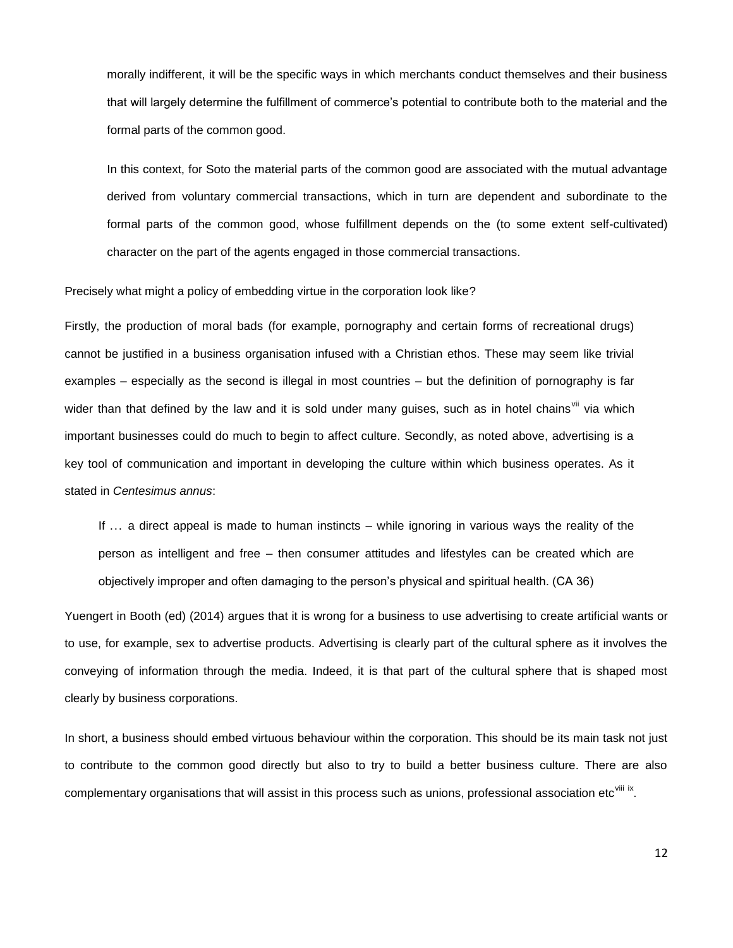morally indifferent, it will be the specific ways in which merchants conduct themselves and their business that will largely determine the fulfillment of commerce's potential to contribute both to the material and the formal parts of the common good.

In this context, for Soto the material parts of the common good are associated with the mutual advantage derived from voluntary commercial transactions, which in turn are dependent and subordinate to the formal parts of the common good, whose fulfillment depends on the (to some extent self-cultivated) character on the part of the agents engaged in those commercial transactions.

Precisely what might a policy of embedding virtue in the corporation look like?

Firstly, the production of moral bads (for example, pornography and certain forms of recreational drugs) cannot be justified in a business organisation infused with a Christian ethos. These may seem like trivial examples – especially as the second is illegal in most countries – but the definition of pornography is far wider than that defined by the law and it is sold under many guises, such as in hotel chains<sup>vii</sup> via which important businesses could do much to begin to affect culture. Secondly, as noted above, advertising is a key tool of communication and important in developing the culture within which business operates. As it stated in *Centesimus annus*:

If ... a direct appeal is made to human instincts – while ignoring in various ways the reality of the person as intelligent and free – then consumer attitudes and lifestyles can be created which are objectively improper and often damaging to the person's physical and spiritual health. (CA 36)

Yuengert in Booth (ed) (2014) argues that it is wrong for a business to use advertising to create artificial wants or to use, for example, sex to advertise products. Advertising is clearly part of the cultural sphere as it involves the conveying of information through the media. Indeed, it is that part of the cultural sphere that is shaped most clearly by business corporations.

In short, a business should embed virtuous behaviour within the corporation. This should be its main task not just to contribute to the common good directly but also to try to build a better business culture. There are also complementary organisations that will assist in this process such as unions, professional association etc<sup>viii ix</sup>.

12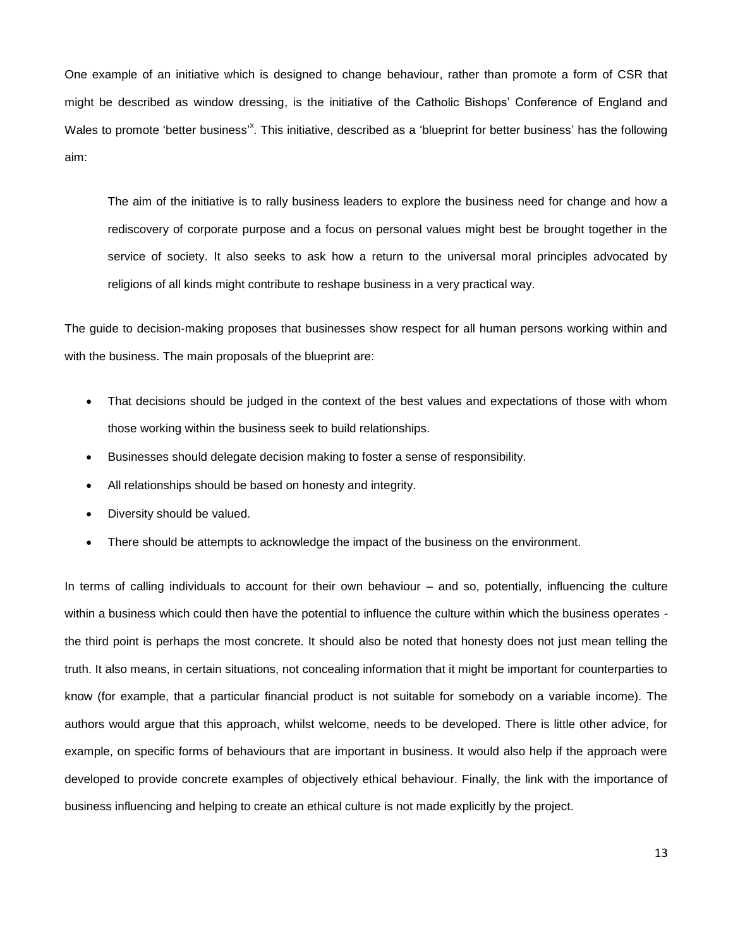One example of an initiative which is designed to change behaviour, rather than promote a form of CSR that might be described as window dressing, is the initiative of the Catholic Bishops' Conference of England and Wales to promote 'better business'<sup>x</sup>. This initiative, described as a 'blueprint for better business' has the following aim:

The aim of the initiative is to rally business leaders to explore the business need for change and how a rediscovery of corporate purpose and a focus on personal values might best be brought together in the service of society. It also seeks to ask how a return to the universal moral principles advocated by religions of all kinds might contribute to reshape business in a very practical way.

The guide to decision-making proposes that businesses show respect for all human persons working within and with the business. The main proposals of the blueprint are:

- That decisions should be judged in the context of the best values and expectations of those with whom those working within the business seek to build relationships.
- Businesses should delegate decision making to foster a sense of responsibility.
- All relationships should be based on honesty and integrity.
- Diversity should be valued.
- There should be attempts to acknowledge the impact of the business on the environment.

In terms of calling individuals to account for their own behaviour – and so, potentially, influencing the culture within a business which could then have the potential to influence the culture within which the business operates the third point is perhaps the most concrete. It should also be noted that honesty does not just mean telling the truth. It also means, in certain situations, not concealing information that it might be important for counterparties to know (for example, that a particular financial product is not suitable for somebody on a variable income). The authors would argue that this approach, whilst welcome, needs to be developed. There is little other advice, for example, on specific forms of behaviours that are important in business. It would also help if the approach were developed to provide concrete examples of objectively ethical behaviour. Finally, the link with the importance of business influencing and helping to create an ethical culture is not made explicitly by the project.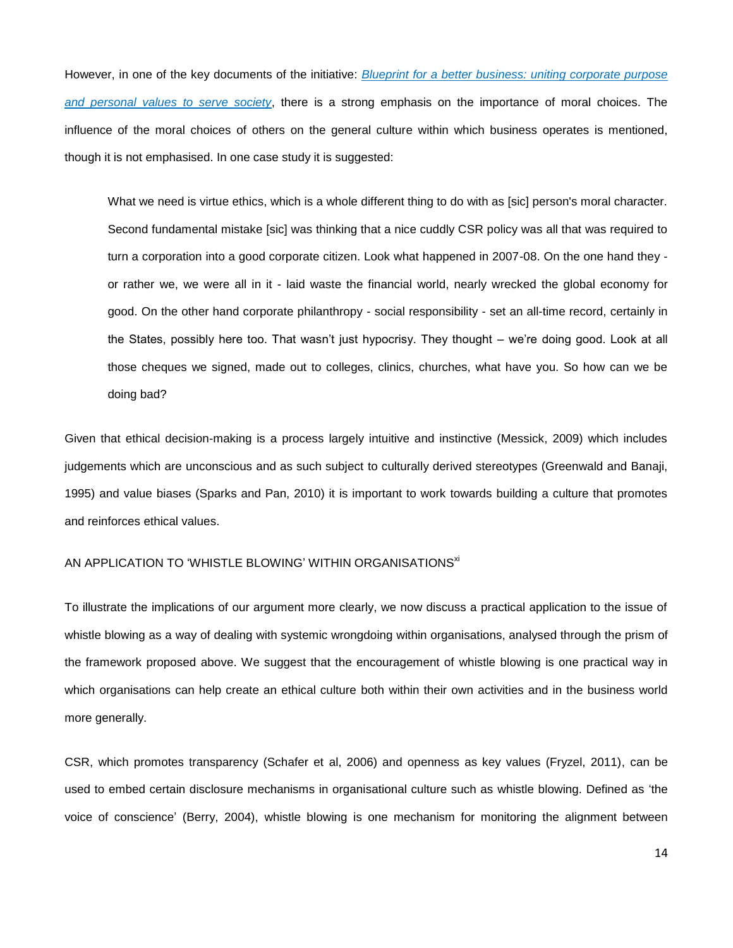However, in one of the key documents of the initiative: *[Blueprint for a better business: uniting corporate purpose](http://www.blueprintforbusiness.org/Home/Resources/Business-Dilemmas)  [and personal values to serve society](http://www.blueprintforbusiness.org/Home/Resources/Business-Dilemmas)*, there is a strong emphasis on the importance of moral choices. The influence of the moral choices of others on the general culture within which business operates is mentioned, though it is not emphasised. In one case study it is suggested:

What we need is virtue ethics, which is a whole different thing to do with as [sic] person's moral character. Second fundamental mistake [sic] was thinking that a nice cuddly CSR policy was all that was required to turn a corporation into a good corporate citizen. Look what happened in 2007-08. On the one hand they or rather we, we were all in it - laid waste the financial world, nearly wrecked the global economy for good. On the other hand corporate philanthropy - social responsibility - set an all-time record, certainly in the States, possibly here too. That wasn't just hypocrisy. They thought – we're doing good. Look at all those cheques we signed, made out to colleges, clinics, churches, what have you. So how can we be doing bad?

Given that ethical decision-making is a process largely intuitive and instinctive (Messick, 2009) which includes judgements which are unconscious and as such subject to culturally derived stereotypes (Greenwald and Banaji, 1995) and value biases (Sparks and Pan, 2010) it is important to work towards building a culture that promotes and reinforces ethical values.

## AN APPLICATION TO 'WHISTLE BLOWING' WITHIN ORGANISATIONS<sup>XI</sup>

To illustrate the implications of our argument more clearly, we now discuss a practical application to the issue of whistle blowing as a way of dealing with systemic wrongdoing within organisations, analysed through the prism of the framework proposed above. We suggest that the encouragement of whistle blowing is one practical way in which organisations can help create an ethical culture both within their own activities and in the business world more generally.

CSR, which promotes transparency (Schafer et al, 2006) and openness as key values (Fryzel, 2011), can be used to embed certain disclosure mechanisms in organisational culture such as whistle blowing. Defined as 'the voice of conscience' (Berry, 2004), whistle blowing is one mechanism for monitoring the alignment between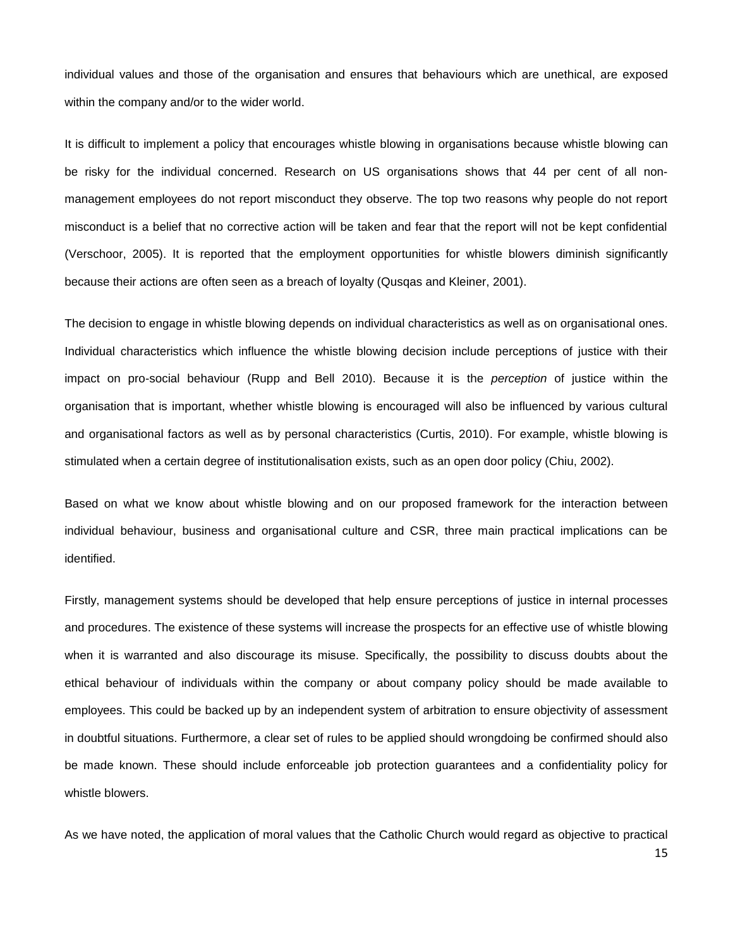individual values and those of the organisation and ensures that behaviours which are unethical, are exposed within the company and/or to the wider world.

It is difficult to implement a policy that encourages whistle blowing in organisations because whistle blowing can be risky for the individual concerned. Research on US organisations shows that 44 per cent of all nonmanagement employees do not report misconduct they observe. The top two reasons why people do not report misconduct is a belief that no corrective action will be taken and fear that the report will not be kept confidential (Verschoor, 2005). It is reported that the employment opportunities for whistle blowers diminish significantly because their actions are often seen as a breach of loyalty (Qusqas and Kleiner, 2001).

The decision to engage in whistle blowing depends on individual characteristics as well as on organisational ones. Individual characteristics which influence the whistle blowing decision include perceptions of justice with their impact on pro-social behaviour (Rupp and Bell 2010). Because it is the *perception* of justice within the organisation that is important, whether whistle blowing is encouraged will also be influenced by various cultural and organisational factors as well as by personal characteristics (Curtis, 2010). For example, whistle blowing is stimulated when a certain degree of institutionalisation exists, such as an open door policy (Chiu, 2002).

Based on what we know about whistle blowing and on our proposed framework for the interaction between individual behaviour, business and organisational culture and CSR, three main practical implications can be identified.

Firstly, management systems should be developed that help ensure perceptions of justice in internal processes and procedures. The existence of these systems will increase the prospects for an effective use of whistle blowing when it is warranted and also discourage its misuse. Specifically, the possibility to discuss doubts about the ethical behaviour of individuals within the company or about company policy should be made available to employees. This could be backed up by an independent system of arbitration to ensure objectivity of assessment in doubtful situations. Furthermore, a clear set of rules to be applied should wrongdoing be confirmed should also be made known. These should include enforceable job protection guarantees and a confidentiality policy for whistle blowers.

15 As we have noted, the application of moral values that the Catholic Church would regard as objective to practical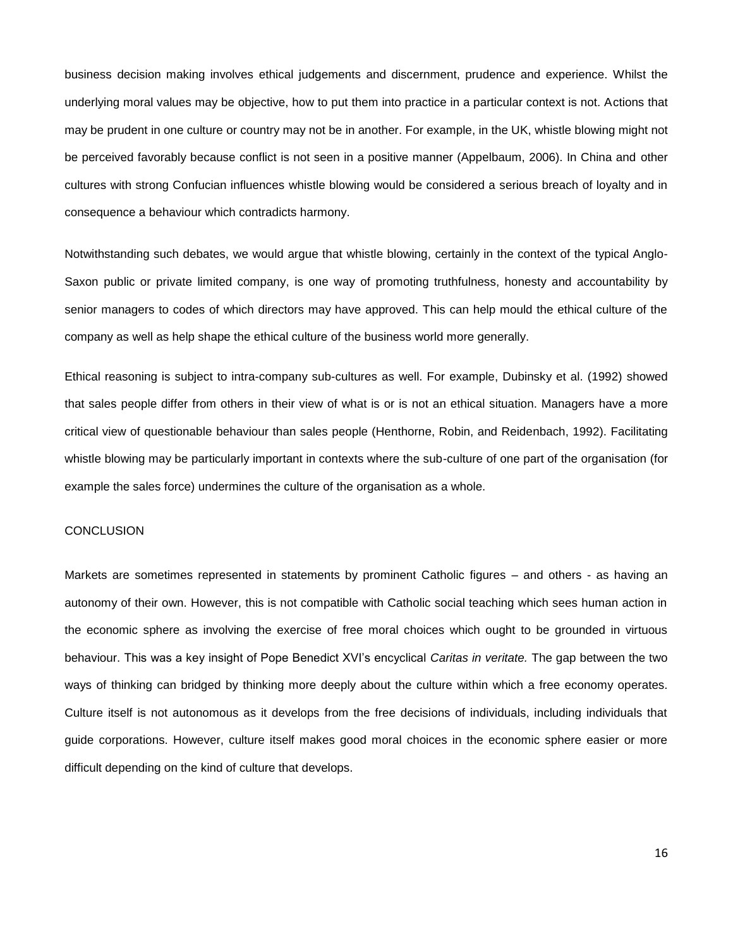business decision making involves ethical judgements and discernment, prudence and experience. Whilst the underlying moral values may be objective, how to put them into practice in a particular context is not. Actions that may be prudent in one culture or country may not be in another. For example, in the UK, whistle blowing might not be perceived favorably because conflict is not seen in a positive manner (Appelbaum, 2006). In China and other cultures with strong Confucian influences whistle blowing would be considered a serious breach of loyalty and in consequence a behaviour which contradicts harmony.

Notwithstanding such debates, we would argue that whistle blowing, certainly in the context of the typical Anglo-Saxon public or private limited company, is one way of promoting truthfulness, honesty and accountability by senior managers to codes of which directors may have approved. This can help mould the ethical culture of the company as well as help shape the ethical culture of the business world more generally.

Ethical reasoning is subject to intra-company sub-cultures as well. For example, Dubinsky et al. (1992) showed that sales people differ from others in their view of what is or is not an ethical situation. Managers have a more critical view of questionable behaviour than sales people (Henthorne, Robin, and Reidenbach, 1992). Facilitating whistle blowing may be particularly important in contexts where the sub-culture of one part of the organisation (for example the sales force) undermines the culture of the organisation as a whole.

## **CONCLUSION**

Markets are sometimes represented in statements by prominent Catholic figures – and others - as having an autonomy of their own. However, this is not compatible with Catholic social teaching which sees human action in the economic sphere as involving the exercise of free moral choices which ought to be grounded in virtuous behaviour. This was a key insight of Pope Benedict XVI's encyclical *Caritas in veritate.* The gap between the two ways of thinking can bridged by thinking more deeply about the culture within which a free economy operates. Culture itself is not autonomous as it develops from the free decisions of individuals, including individuals that guide corporations. However, culture itself makes good moral choices in the economic sphere easier or more difficult depending on the kind of culture that develops.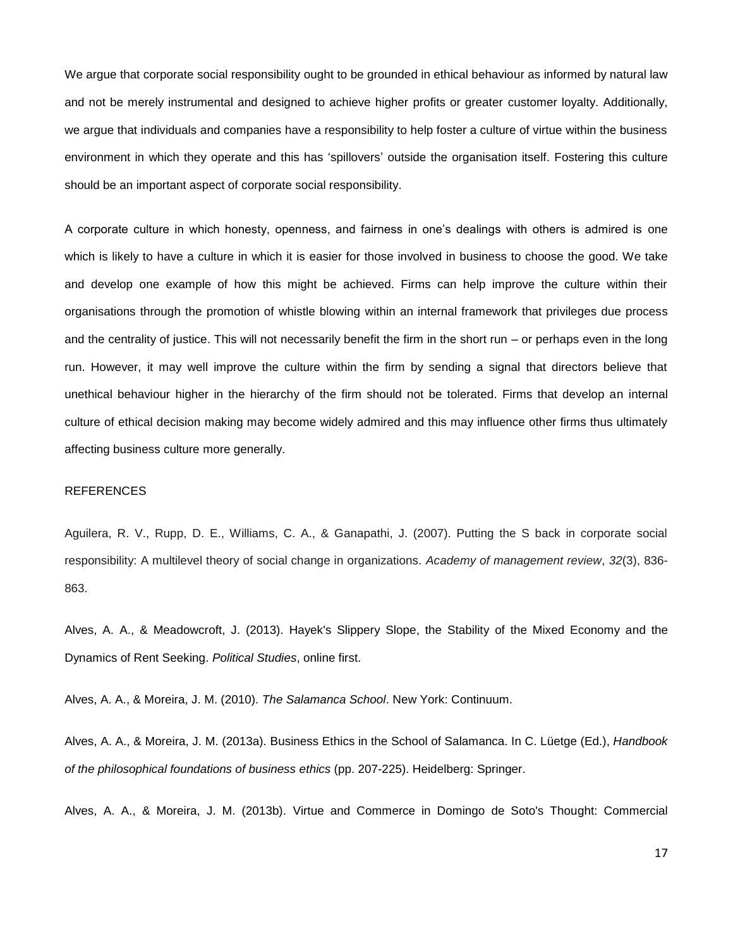We argue that corporate social responsibility ought to be grounded in ethical behaviour as informed by natural law and not be merely instrumental and designed to achieve higher profits or greater customer loyalty. Additionally, we argue that individuals and companies have a responsibility to help foster a culture of virtue within the business environment in which they operate and this has 'spillovers' outside the organisation itself. Fostering this culture should be an important aspect of corporate social responsibility.

A corporate culture in which honesty, openness, and fairness in one's dealings with others is admired is one which is likely to have a culture in which it is easier for those involved in business to choose the good. We take and develop one example of how this might be achieved. Firms can help improve the culture within their organisations through the promotion of whistle blowing within an internal framework that privileges due process and the centrality of justice. This will not necessarily benefit the firm in the short run – or perhaps even in the long run. However, it may well improve the culture within the firm by sending a signal that directors believe that unethical behaviour higher in the hierarchy of the firm should not be tolerated. Firms that develop an internal culture of ethical decision making may become widely admired and this may influence other firms thus ultimately affecting business culture more generally.

### REFERENCES

Aguilera, R. V., Rupp, D. E., Williams, C. A., & Ganapathi, J. (2007). Putting the S back in corporate social responsibility: A multilevel theory of social change in organizations. *Academy of management review*, *32*(3), 836- 863.

Alves, A. A., & Meadowcroft, J. (2013). Hayek's Slippery Slope, the Stability of the Mixed Economy and the Dynamics of Rent Seeking. *Political Studies*, online first.

Alves, A. A., & Moreira, J. M. (2010). *The Salamanca School*. New York: Continuum.

Alves, A. A., & Moreira, J. M. (2013a). Business Ethics in the School of Salamanca. In C. Lüetge (Ed.), *Handbook of the philosophical foundations of business ethics* (pp. 207-225). Heidelberg: Springer.

Alves, A. A., & Moreira, J. M. (2013b). Virtue and Commerce in Domingo de Soto's Thought: Commercial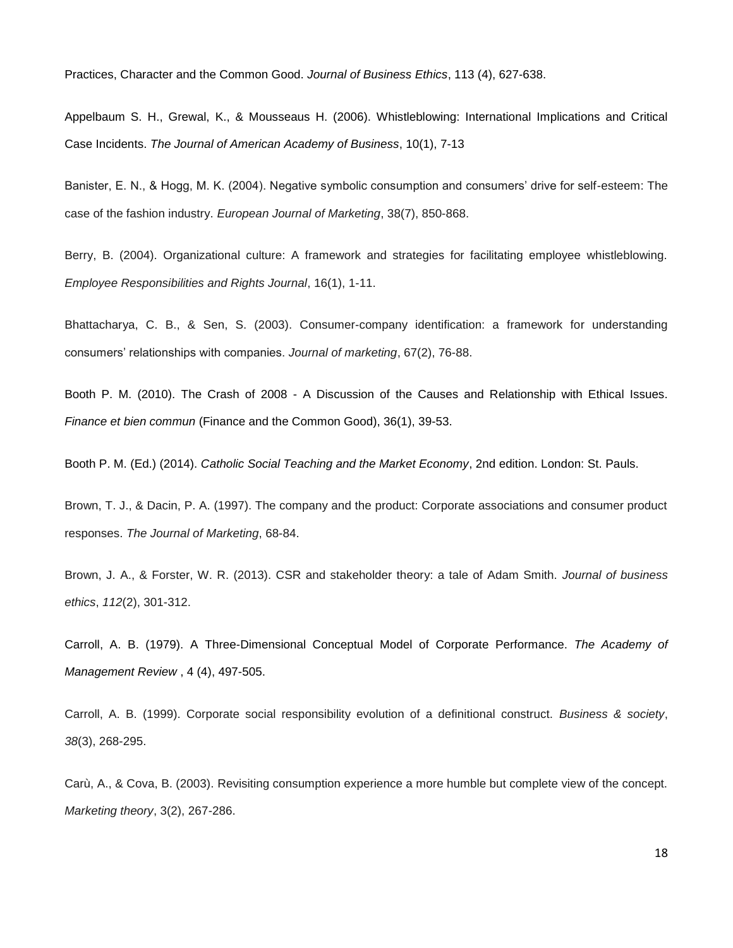Practices, Character and the Common Good. *Journal of Business Ethics*, 113 (4), 627-638.

Appelbaum S. H., Grewal, K., & Mousseaus H. (2006). Whistleblowing: International Implications and Critical Case Incidents. *The Journal of American Academy of Business*, 10(1), 7-13

Banister, E. N., & Hogg, M. K. (2004). Negative symbolic consumption and consumers' drive for self-esteem: The case of the fashion industry. *European Journal of Marketing*, 38(7), 850-868.

Berry, B. (2004). Organizational culture: A framework and strategies for facilitating employee whistleblowing. *Employee Responsibilities and Rights Journal*, 16(1), 1-11.

Bhattacharya, C. B., & Sen, S. (2003). Consumer-company identification: a framework for understanding consumers' relationships with companies. *Journal of marketing*, 67(2), 76-88.

Booth P. M. (2010). The Crash of 2008 - A Discussion of the Causes and Relationship with Ethical Issues. *Finance et bien commun* (Finance and the Common Good), 36(1), 39-53.

Booth P. M. (Ed.) (2014). *Catholic Social Teaching and the Market Economy*, 2nd edition. London: St. Pauls.

Brown, T. J., & Dacin, P. A. (1997). The company and the product: Corporate associations and consumer product responses. *The Journal of Marketing*, 68-84.

Brown, J. A., & Forster, W. R. (2013). CSR and stakeholder theory: a tale of Adam Smith. *Journal of business ethics*, *112*(2), 301-312.

Carroll, A. B. (1979). A Three-Dimensional Conceptual Model of Corporate Performance. *The Academy of Management Review* , 4 (4), 497-505.

Carroll, A. B. (1999). Corporate social responsibility evolution of a definitional construct. *Business & society*, *38*(3), 268-295.

Carù, A., & Cova, B. (2003). Revisiting consumption experience a more humble but complete view of the concept. *Marketing theory*, 3(2), 267-286.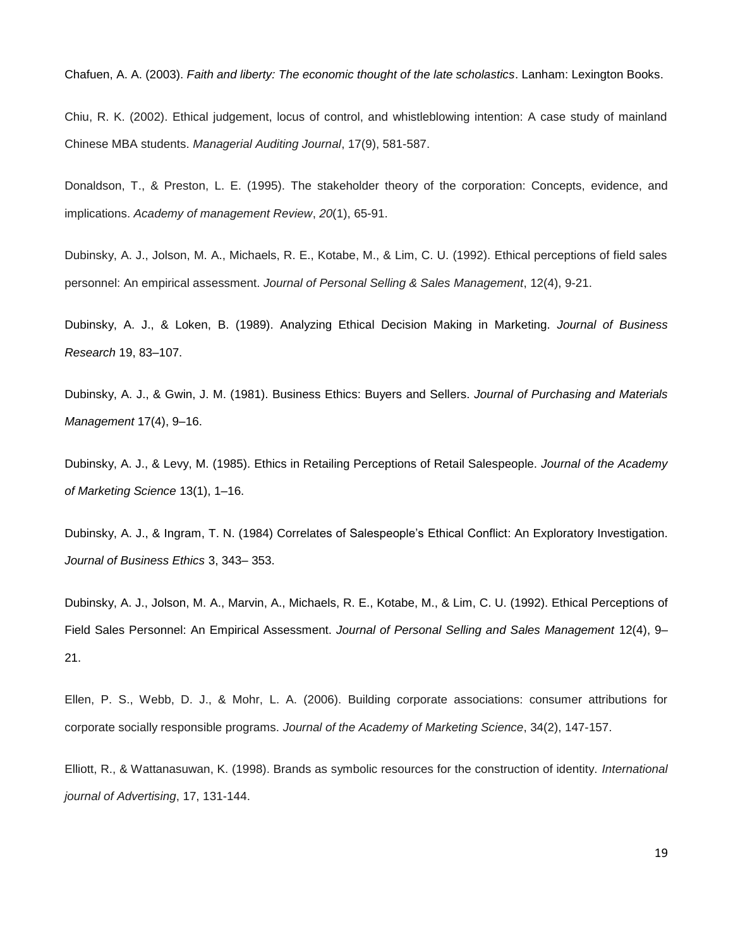Chafuen, A. A. (2003). *Faith and liberty: The economic thought of the late scholastics*. Lanham: Lexington Books.

Chiu, R. K. (2002). Ethical judgement, locus of control, and whistleblowing intention: A case study of mainland Chinese MBA students. *Managerial Auditing Journal*, 17(9), 581-587.

Donaldson, T., & Preston, L. E. (1995). The stakeholder theory of the corporation: Concepts, evidence, and implications. *Academy of management Review*, *20*(1), 65-91.

Dubinsky, A. J., Jolson, M. A., Michaels, R. E., Kotabe, M., & Lim, C. U. (1992). Ethical perceptions of field sales personnel: An empirical assessment. *Journal of Personal Selling & Sales Management*, 12(4), 9-21.

Dubinsky, A. J., & Loken, B. (1989). Analyzing Ethical Decision Making in Marketing. *Journal of Business Research* 19, 83–107.

Dubinsky, A. J., & Gwin, J. M. (1981). Business Ethics: Buyers and Sellers. *Journal of Purchasing and Materials Management* 17(4), 9–16.

Dubinsky, A. J., & Levy, M. (1985). Ethics in Retailing Perceptions of Retail Salespeople. *Journal of the Academy of Marketing Science* 13(1), 1–16.

Dubinsky, A. J., & Ingram, T. N. (1984) Correlates of Salespeople's Ethical Conflict: An Exploratory Investigation. *Journal of Business Ethics* 3, 343– 353.

Dubinsky, A. J., Jolson, M. A., Marvin, A., Michaels, R. E., Kotabe, M., & Lim, C. U. (1992). Ethical Perceptions of Field Sales Personnel: An Empirical Assessment. *Journal of Personal Selling and Sales Management* 12(4), 9– 21.

Ellen, P. S., Webb, D. J., & Mohr, L. A. (2006). Building corporate associations: consumer attributions for corporate socially responsible programs. *Journal of the Academy of Marketing Science*, 34(2), 147-157.

Elliott, R., & Wattanasuwan, K. (1998). Brands as symbolic resources for the construction of identity. *International journal of Advertising*, 17, 131-144.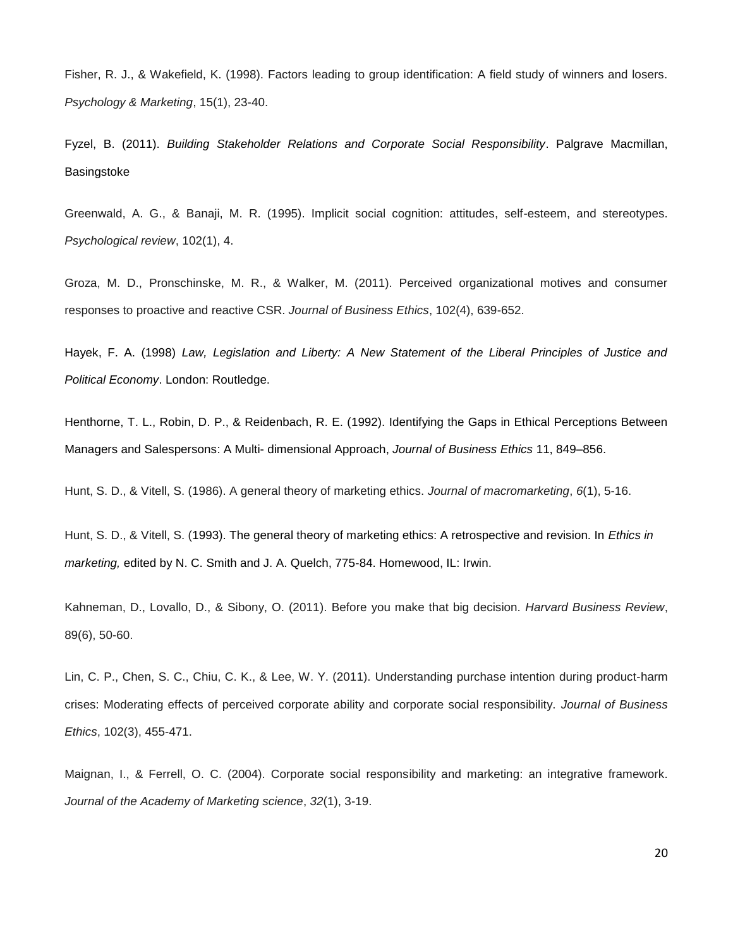Fisher, R. J., & Wakefield, K. (1998). Factors leading to group identification: A field study of winners and losers. *Psychology & Marketing*, 15(1), 23-40.

Fyzel, B. (2011). *Building Stakeholder Relations and Corporate Social Responsibility*. Palgrave Macmillan, Basingstoke

Greenwald, A. G., & Banaji, M. R. (1995). Implicit social cognition: attitudes, self-esteem, and stereotypes. *Psychological review*, 102(1), 4.

Groza, M. D., Pronschinske, M. R., & Walker, M. (2011). Perceived organizational motives and consumer responses to proactive and reactive CSR. *Journal of Business Ethics*, 102(4), 639-652.

Hayek, F. A. (1998) *Law, Legislation and Liberty: A New Statement of the Liberal Principles of Justice and Political Economy*. London: Routledge.

Henthorne, T. L., Robin, D. P., & Reidenbach, R. E. (1992). Identifying the Gaps in Ethical Perceptions Between Managers and Salespersons: A Multi- dimensional Approach, *Journal of Business Ethics* 11, 849–856.

Hunt, S. D., & Vitell, S. (1986). A general theory of marketing ethics. *Journal of macromarketing*, *6*(1), 5-16.

Hunt, S. D., & Vitell, S. (1993). The general theory of marketing ethics: A retrospective and revision. In *Ethics in marketing,* edited by N. C. Smith and J. A. Quelch, 775-84. Homewood, IL: Irwin.

Kahneman, D., Lovallo, D., & Sibony, O. (2011). Before you make that big decision. *Harvard Business Review*, 89(6), 50-60.

Lin, C. P., Chen, S. C., Chiu, C. K., & Lee, W. Y. (2011). Understanding purchase intention during product-harm crises: Moderating effects of perceived corporate ability and corporate social responsibility. *Journal of Business Ethics*, 102(3), 455-471.

Maignan, I., & Ferrell, O. C. (2004). Corporate social responsibility and marketing: an integrative framework. *Journal of the Academy of Marketing science*, *32*(1), 3-19.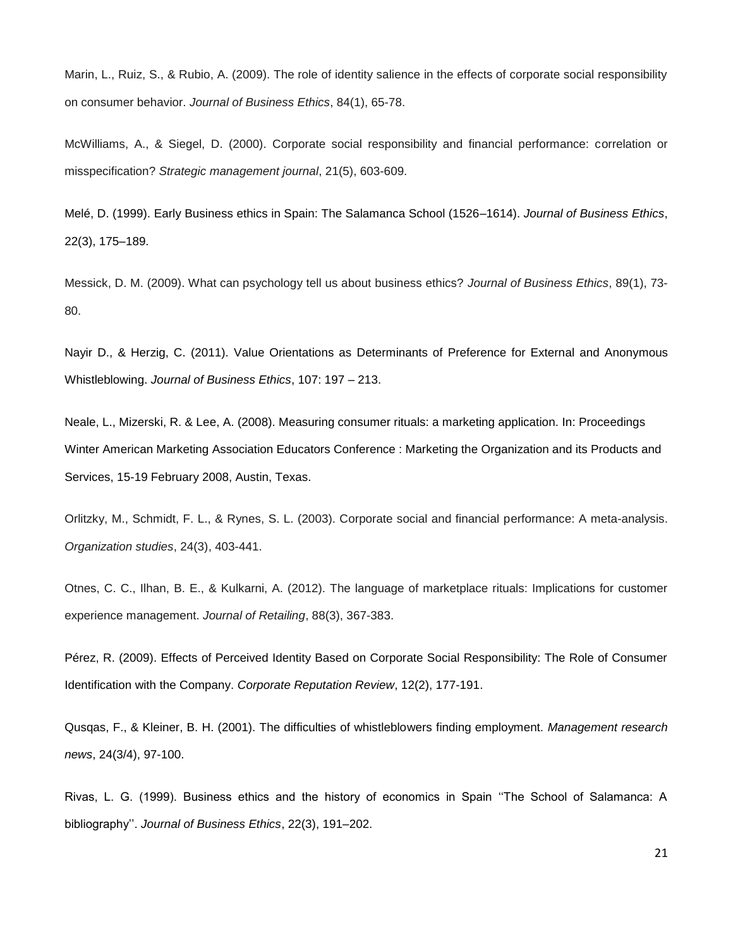Marin, L., Ruiz, S., & Rubio, A. (2009). The role of identity salience in the effects of corporate social responsibility on consumer behavior. *Journal of Business Ethics*, 84(1), 65-78.

McWilliams, A., & Siegel, D. (2000). Corporate social responsibility and financial performance: correlation or misspecification? *Strategic management journal*, 21(5), 603-609.

Melé, D. (1999). Early Business ethics in Spain: The Salamanca School (1526–1614). *Journal of Business Ethics*, 22(3), 175–189.

Messick, D. M. (2009). What can psychology tell us about business ethics? *Journal of Business Ethics*, 89(1), 73- 80.

Nayir D., & Herzig, C. (2011). Value Orientations as Determinants of Preference for External and Anonymous Whistleblowing. *Journal of Business Ethics*, 107: 197 – 213.

Neale, L., Mizerski, R. & Lee, A. (2008). Measuring consumer rituals: a marketing application. In: Proceedings Winter American Marketing Association Educators Conference : Marketing the Organization and its Products and Services, 15-19 February 2008, Austin, Texas.

Orlitzky, M., Schmidt, F. L., & Rynes, S. L. (2003). Corporate social and financial performance: A meta-analysis. *Organization studies*, 24(3), 403-441.

Otnes, C. C., Ilhan, B. E., & Kulkarni, A. (2012). The language of marketplace rituals: Implications for customer experience management. *Journal of Retailing*, 88(3), 367-383.

Pérez, R. (2009). Effects of Perceived Identity Based on Corporate Social Responsibility: The Role of Consumer Identification with the Company. *Corporate Reputation Review*, 12(2), 177-191.

Qusqas, F., & Kleiner, B. H. (2001). The difficulties of whistleblowers finding employment. *Management research news*, 24(3/4), 97-100.

Rivas, L. G. (1999). Business ethics and the history of economics in Spain ''The School of Salamanca: A bibliography''. *Journal of Business Ethics*, 22(3), 191–202.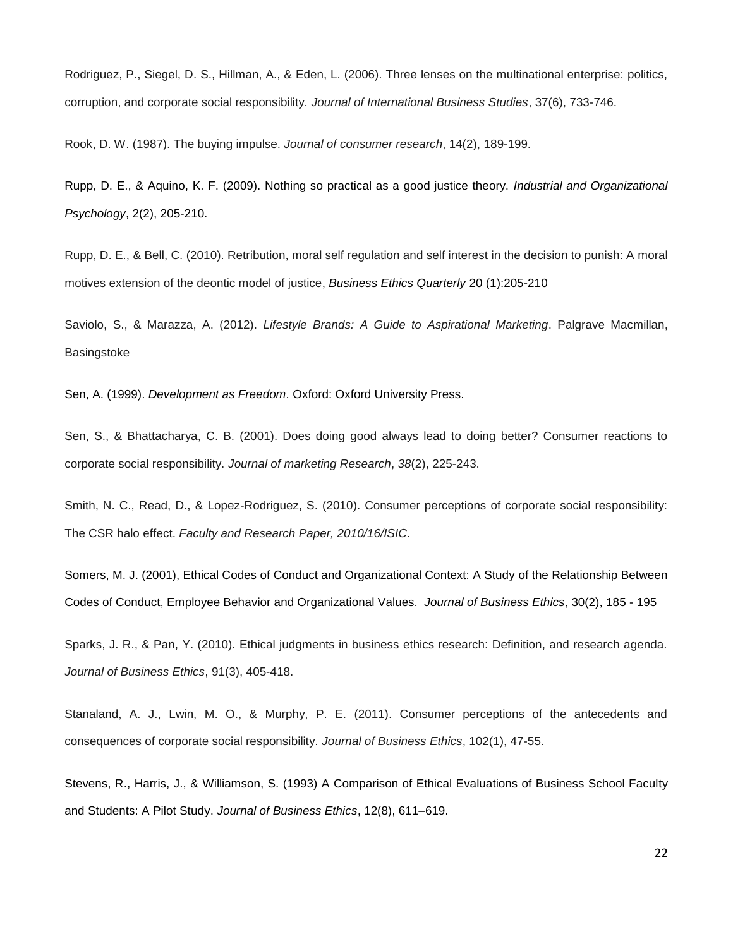Rodriguez, P., Siegel, D. S., Hillman, A., & Eden, L. (2006). Three lenses on the multinational enterprise: politics, corruption, and corporate social responsibility. *Journal of International Business Studies*, 37(6), 733-746.

Rook, D. W. (1987). The buying impulse. *Journal of consumer research*, 14(2), 189-199.

Rupp, D. E., & Aquino, K. F. (2009). Nothing so practical as a good justice theory. *Industrial and Organizational Psychology*, 2(2), 205-210.

Rupp, D. E., & Bell, C. (2010). Retribution, moral self regulation and self interest in the decision to punish: A moral motives extension of the deontic model of justice, *Business Ethics Quarterly* 20 (1):205-210

Saviolo, S., & Marazza, A. (2012). *Lifestyle Brands: A Guide to Aspirational Marketing*. Palgrave Macmillan, **Basingstoke** 

Sen, A. (1999). *Development as Freedom*. Oxford: Oxford University Press.

Sen, S., & Bhattacharya, C. B. (2001). Does doing good always lead to doing better? Consumer reactions to corporate social responsibility. *Journal of marketing Research*, *38*(2), 225-243.

Smith, N. C., Read, D., & Lopez-Rodriguez, S. (2010). Consumer perceptions of corporate social responsibility: The CSR halo effect. *Faculty and Research Paper, 2010/16/ISIC*.

Somers, M. J. (2001), Ethical Codes of Conduct and Organizational Context: A Study of the Relationship Between Codes of Conduct, Employee Behavior and Organizational Values. *Journal of Business Ethics*, 30(2), 185 - 195

Sparks, J. R., & Pan, Y. (2010). Ethical judgments in business ethics research: Definition, and research agenda. *Journal of Business Ethics*, 91(3), 405-418.

Stanaland, A. J., Lwin, M. O., & Murphy, P. E. (2011). Consumer perceptions of the antecedents and consequences of corporate social responsibility. *Journal of Business Ethics*, 102(1), 47-55.

Stevens, R., Harris, J., & Williamson, S. (1993) A Comparison of Ethical Evaluations of Business School Faculty and Students: A Pilot Study. *Journal of Business Ethics*, 12(8), 611–619.

22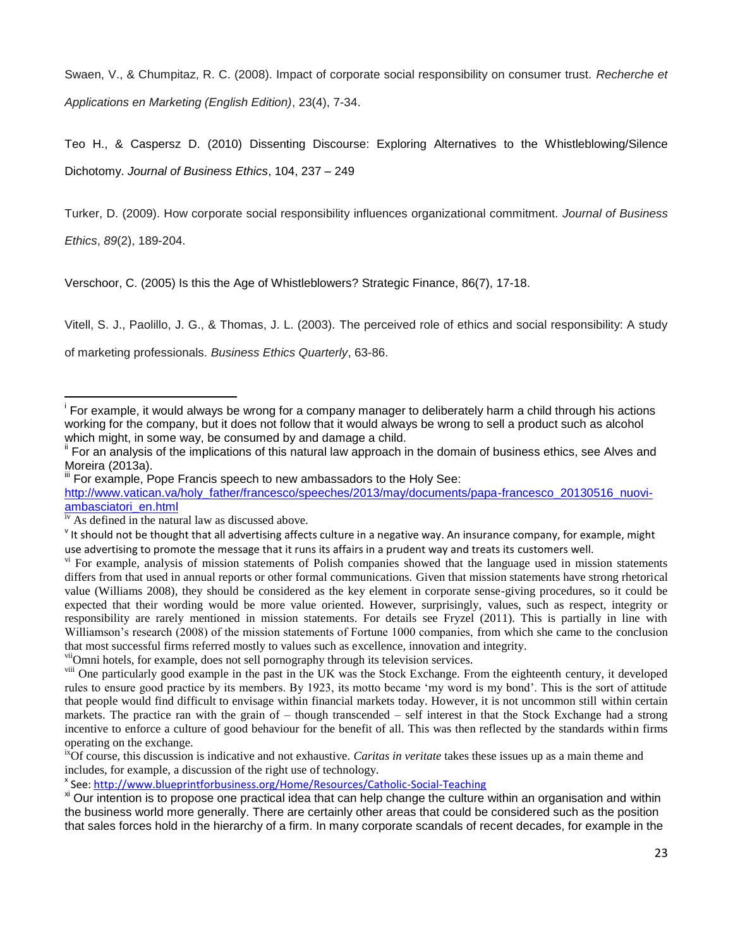Swaen, V., & Chumpitaz, R. C. (2008). Impact of corporate social responsibility on consumer trust. *Recherche et Applications en Marketing (English Edition)*, 23(4), 7-34.

Teo H., & Caspersz D. (2010) Dissenting Discourse: Exploring Alternatives to the Whistleblowing/Silence Dichotomy. *Journal of Business Ethics*, 104, 237 – 249

Turker, D. (2009). How corporate social responsibility influences organizational commitment. *Journal of Business* 

*Ethics*, *89*(2), 189-204.

Verschoor, C. (2005) Is this the Age of Whistleblowers? Strategic Finance, 86(7), 17-18.

Vitell, S. J., Paolillo, J. G., & Thomas, J. L. (2003). The perceived role of ethics and social responsibility: A study

of marketing professionals. *Business Ethics Quarterly*, 63-86.

If For example, Pope Francis speech to new ambassadors to the Holy See:

[http://www.vatican.va/holy\\_father/francesco/speeches/2013/may/documents/papa-francesco\\_20130516\\_nuovi](http://www.vatican.va/holy_father/francesco/speeches/2013/may/documents/papa-francesco_20130516_nuovi-ambasciatori_en.html)[ambasciatori\\_en.html](http://www.vatican.va/holy_father/francesco/speeches/2013/may/documents/papa-francesco_20130516_nuovi-ambasciatori_en.html)

<sup>vii</sup>Omni hotels, for example, does not sell pornography through its television services.

x See[: http://www.blueprintforbusiness.org/Home/Resources/Catholic-Social-Teaching](http://www.blueprintforbusiness.org/Home/Resources/Catholic-Social-Teaching)

<sup>xi</sup> Our intention is to propose one practical idea that can help change the culture within an organisation and within the business world more generally. There are certainly other areas that could be considered such as the position that sales forces hold in the hierarchy of a firm. In many corporate scandals of recent decades, for example in the

<sup>&</sup>lt;u>inconduct</u><br><sup>i</sup> For example, it would always be wrong for a company manager to deliberately harm a child through his actions working for the company, but it does not follow that it would always be wrong to sell a product such as alcohol which might, in some way, be consumed by and damage a child.

For an analysis of the implications of this natural law approach in the domain of business ethics, see Alves and Moreira (2013a).

 $\frac{1}{11}$  As defined in the natural law as discussed above.

 $\rm{v}$  It should not be thought that all advertising affects culture in a negative way. An insurance company, for example, might use advertising to promote the message that it runs its affairs in a prudent way and treats its customers well.

<sup>&</sup>lt;sup>vi</sup> For example, analysis of mission statements of Polish companies showed that the language used in mission statements differs from that used in annual reports or other formal communications. Given that mission statements have strong rhetorical value (Williams 2008), they should be considered as the key element in corporate sense-giving procedures, so it could be expected that their wording would be more value oriented. However, surprisingly, values, such as respect, integrity or responsibility are rarely mentioned in mission statements. For details see Fryzel (2011). This is partially in line with Williamson's research (2008) of the mission statements of Fortune 1000 companies, from which she came to the conclusion that most successful firms referred mostly to values such as excellence, innovation and integrity.

viii One particularly good example in the past in the UK was the Stock Exchange. From the eighteenth century, it developed rules to ensure good practice by its members. By 1923, its motto became 'my word is my bond'. This is the sort of attitude that people would find difficult to envisage within financial markets today. However, it is not uncommon still within certain markets. The practice ran with the grain of – though transcended – self interest in that the Stock Exchange had a strong incentive to enforce a culture of good behaviour for the benefit of all. This was then reflected by the standards within firms operating on the exchange.

ixOf course, this discussion is indicative and not exhaustive. *Caritas in veritate* takes these issues up as a main theme and includes, for example, a discussion of the right use of technology.